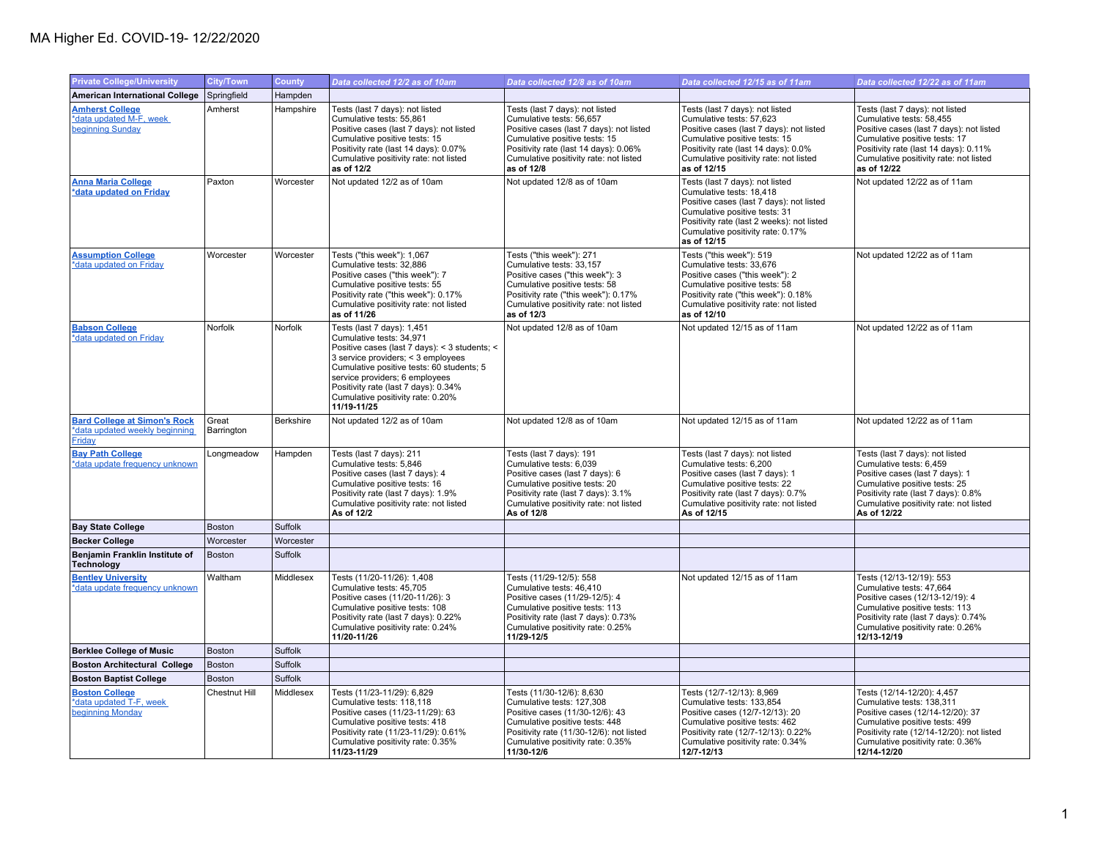## MA Higher Ed. COVID-19- 12/22/2020

| <b>Private College/University</b>                                                      | <b>City/Town</b>    | <b>County</b> | Data collected 12/2 as of 10am                                                                                                                                                                                                                                                                                           | Data collected 12/8 as of 10am                                                                                                                                                                                                            | Data collected 12/15 as of 11am                                                                                                                                                                                                            | Data collected 12/22 as of 11am                                                                                                                                                                                                            |
|----------------------------------------------------------------------------------------|---------------------|---------------|--------------------------------------------------------------------------------------------------------------------------------------------------------------------------------------------------------------------------------------------------------------------------------------------------------------------------|-------------------------------------------------------------------------------------------------------------------------------------------------------------------------------------------------------------------------------------------|--------------------------------------------------------------------------------------------------------------------------------------------------------------------------------------------------------------------------------------------|--------------------------------------------------------------------------------------------------------------------------------------------------------------------------------------------------------------------------------------------|
| <b>American International College</b>                                                  | Springfield         | Hampden       |                                                                                                                                                                                                                                                                                                                          |                                                                                                                                                                                                                                           |                                                                                                                                                                                                                                            |                                                                                                                                                                                                                                            |
| <b>Amherst College</b><br>*data updated M-F, week<br>beginning Sunday                  | Amherst             | Hampshire     | Tests (last 7 days): not listed<br>Cumulative tests: 55,861<br>Positive cases (last 7 days): not listed<br>Cumulative positive tests: 15<br>Positivity rate (last 14 days): 0.07%<br>Cumulative positivity rate: not listed<br>as of 12/2                                                                                | Tests (last 7 days): not listed<br>Cumulative tests: 56,657<br>Positive cases (last 7 days): not listed<br>Cumulative positive tests: 15<br>Positivity rate (last 14 days): 0.06%<br>Cumulative positivity rate: not listed<br>as of 12/8 | Tests (last 7 days): not listed<br>Cumulative tests: 57,623<br>Positive cases (last 7 days): not listed<br>Cumulative positive tests: 15<br>Positivity rate (last 14 days): 0.0%<br>Cumulative positivity rate: not listed<br>as of 12/15  | Tests (last 7 days): not listed<br>Cumulative tests: 58,455<br>Positive cases (last 7 days): not listed<br>Cumulative positive tests: 17<br>Positivity rate (last 14 days): 0.11%<br>Cumulative positivity rate: not listed<br>as of 12/22 |
| <b>Anna Maria College</b><br>*data updated on Friday                                   | Paxton              | Worcester     | Not updated 12/2 as of 10am                                                                                                                                                                                                                                                                                              | Not updated 12/8 as of 10am                                                                                                                                                                                                               | Tests (last 7 days): not listed<br>Cumulative tests: 18,418<br>Positive cases (last 7 days): not listed<br>Cumulative positive tests: 31<br>Positivity rate (last 2 weeks): not listed<br>Cumulative positivity rate: 0.17%<br>as of 12/15 | Not updated 12/22 as of 11am                                                                                                                                                                                                               |
| <b>Assumption College</b><br>*data updated on Friday                                   | Worcester           | Worcester     | Tests ("this week"): 1,067<br>Cumulative tests: 32,886<br>Positive cases ("this week"): 7<br>Cumulative positive tests: 55<br>Positivity rate ("this week"): 0.17%<br>Cumulative positivity rate: not listed<br>as of 11/26                                                                                              | Tests ("this week"): 271<br>Cumulative tests: 33,157<br>Positive cases ("this week"): 3<br>Cumulative positive tests: 58<br>Positivity rate ("this week"): 0.17%<br>Cumulative positivity rate: not listed<br>as of 12/3                  | Tests ("this week"): 519<br>Cumulative tests: 33,676<br>Positive cases ("this week"): 2<br>Cumulative positive tests: 58<br>Positivity rate ("this week"): 0.18%<br>Cumulative positivity rate: not listed<br>as of 12/10                  | Not updated 12/22 as of 11am                                                                                                                                                                                                               |
| <b>Babson College</b><br>*data updated on Friday                                       | Norfolk             | Norfolk       | Tests (last 7 days): 1,451<br>Cumulative tests: 34,971<br>Positive cases (last 7 days): < 3 students; <<br>3 service providers; < 3 employees<br>Cumulative positive tests: 60 students; 5<br>service providers; 6 employees<br>Positivity rate (last 7 days): 0.34%<br>Cumulative positivity rate: 0.20%<br>11/19-11/25 | Not updated 12/8 as of 10am                                                                                                                                                                                                               | Not updated 12/15 as of 11am                                                                                                                                                                                                               | Not updated 12/22 as of 11am                                                                                                                                                                                                               |
| <b>Bard College at Simon's Rock</b><br>*data updated weekly beginning<br><b>Friday</b> | Great<br>Barrington | Berkshire     | Not updated 12/2 as of 10am                                                                                                                                                                                                                                                                                              | Not updated 12/8 as of 10am                                                                                                                                                                                                               | Not updated 12/15 as of 11am                                                                                                                                                                                                               | Not updated 12/22 as of 11am                                                                                                                                                                                                               |
| <b>Bay Path College</b><br>*data update frequency unknown                              | Longmeadow          | Hampden       | Tests (last 7 days): 211<br>Cumulative tests: 5,846<br>Positive cases (last 7 days): 4<br>Cumulative positive tests: 16<br>Positivity rate (last 7 days): 1.9%<br>Cumulative positivity rate: not listed<br>As of 12/2                                                                                                   | Tests (last 7 days): 191<br>Cumulative tests: 6,039<br>Positive cases (last 7 days): 6<br>Cumulative positive tests: 20<br>Positivity rate (last 7 days): 3.1%<br>Cumulative positivity rate: not listed<br>As of 12/8                    | Tests (last 7 days): not listed<br>Cumulative tests: 6,200<br>Positive cases (last 7 days): 1<br>Cumulative positive tests: 22<br>Positivity rate (last 7 days): 0.7%<br>Cumulative positivity rate: not listed<br>As of 12/15             | Tests (last 7 days): not listed<br>Cumulative tests: 6,459<br>Positive cases (last 7 days): 1<br>Cumulative positive tests: 25<br>Positivity rate (last 7 days): 0.8%<br>Cumulative positivity rate: not listed<br>As of 12/22             |
| <b>Bay State College</b>                                                               | <b>Boston</b>       | Suffolk       |                                                                                                                                                                                                                                                                                                                          |                                                                                                                                                                                                                                           |                                                                                                                                                                                                                                            |                                                                                                                                                                                                                                            |
| <b>Becker College</b>                                                                  | Worcester           | Worcester     |                                                                                                                                                                                                                                                                                                                          |                                                                                                                                                                                                                                           |                                                                                                                                                                                                                                            |                                                                                                                                                                                                                                            |
| Benjamin Franklin Institute of<br><b>Technology</b>                                    | Boston              | Suffolk       |                                                                                                                                                                                                                                                                                                                          |                                                                                                                                                                                                                                           |                                                                                                                                                                                                                                            |                                                                                                                                                                                                                                            |
| <b>Bentley University</b><br>*data update frequency unknown                            | Waltham             | Middlesex     | Tests (11/20-11/26): 1,408<br>Cumulative tests: 45.705<br>Positive cases (11/20-11/26): 3<br>Cumulative positive tests: 108<br>Positivity rate (last 7 days): 0.22%<br>Cumulative positivity rate: 0.24%<br>11/20-11/26                                                                                                  | Tests (11/29-12/5): 558<br>Cumulative tests: 46.410<br>Positive cases (11/29-12/5): 4<br>Cumulative positive tests: 113<br>Positivity rate (last 7 days): 0.73%<br>Cumulative positivity rate: 0.25%<br>11/29-12/5                        | Not updated 12/15 as of 11am                                                                                                                                                                                                               | Tests (12/13-12/19): 553<br>Cumulative tests: 47.664<br>Positive cases (12/13-12/19): 4<br>Cumulative positive tests: 113<br>Positivity rate (last 7 days): 0.74%<br>Cumulative positivity rate: 0.26%<br>12/13-12/19                      |
| <b>Berklee College of Music</b>                                                        | <b>Boston</b>       | Suffolk       |                                                                                                                                                                                                                                                                                                                          |                                                                                                                                                                                                                                           |                                                                                                                                                                                                                                            |                                                                                                                                                                                                                                            |
| <b>Boston Architectural College</b>                                                    | Boston              | Suffolk       |                                                                                                                                                                                                                                                                                                                          |                                                                                                                                                                                                                                           |                                                                                                                                                                                                                                            |                                                                                                                                                                                                                                            |
| <b>Boston Baptist College</b>                                                          | <b>Boston</b>       | Suffolk       |                                                                                                                                                                                                                                                                                                                          |                                                                                                                                                                                                                                           |                                                                                                                                                                                                                                            |                                                                                                                                                                                                                                            |
| <b>Boston College</b><br>*data updated T-F, week<br>beginning Monday                   | Chestnut Hill       | Middlesex     | Tests (11/23-11/29): 6,829<br>Cumulative tests: 118,118<br>Positive cases (11/23-11/29): 63<br>Cumulative positive tests: 418<br>Positivity rate (11/23-11/29): 0.61%<br>Cumulative positivity rate: 0.35%<br>11/23-11/29                                                                                                | Tests (11/30-12/6): 8,630<br>Cumulative tests: 127,308<br>Positive cases (11/30-12/6): 43<br>Cumulative positive tests: 448<br>Positivity rate (11/30-12/6): not listed<br>Cumulative positivity rate: 0.35%<br>11/30-12/6                | Tests (12/7-12/13): 8,969<br>Cumulative tests: 133,854<br>Positive cases (12/7-12/13): 20<br>Cumulative positive tests: 462<br>Positivity rate (12/7-12/13): 0.22%<br>Cumulative positivity rate: 0.34%<br>12/7-12/13                      | Tests (12/14-12/20): 4,457<br>Cumulative tests: 138,311<br>Positive cases (12/14-12/20): 37<br>Cumulative positive tests: 499<br>Positivity rate (12/14-12/20): not listed<br>Cumulative positivity rate: 0.36%<br>12/14-12/20             |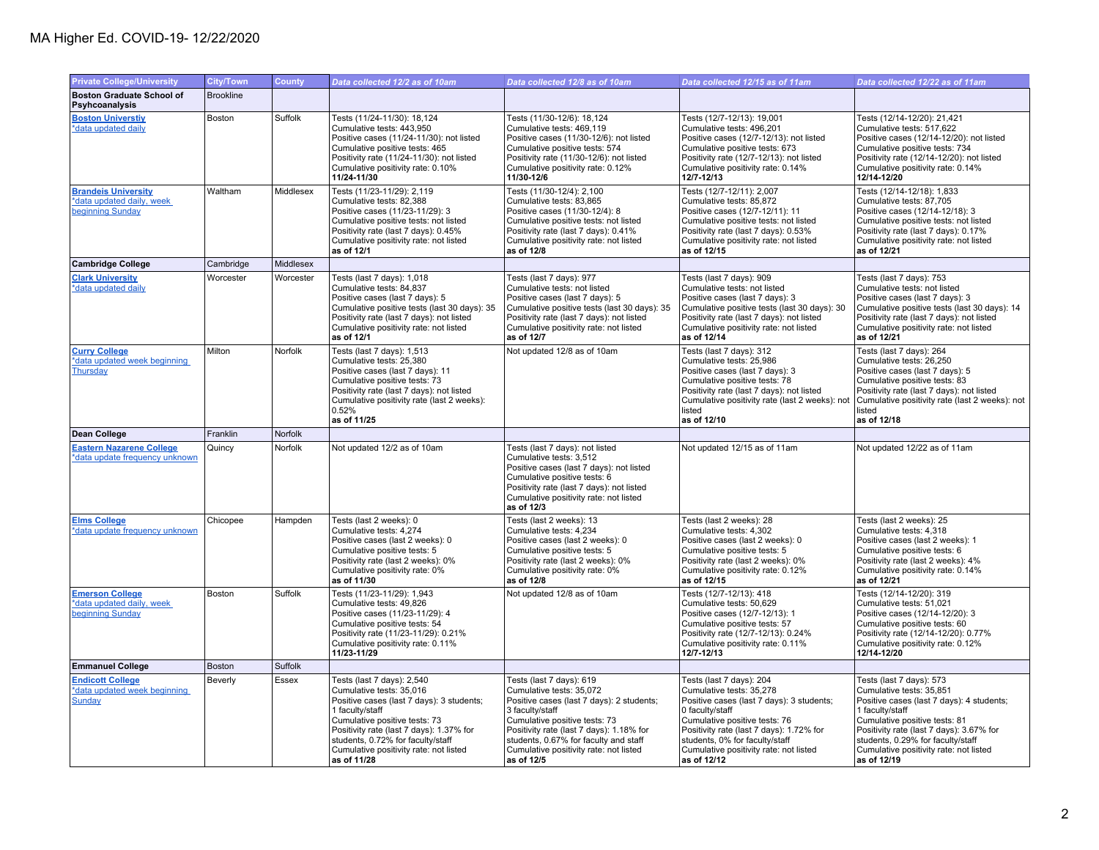| <b>Private College/University</b>                                           | <b>City/Town</b> | <b>County</b> | Data collected 12/2 as of 10am                                                                                                                                                                                                                                                                    | Data collected 12/8 as of 10am                                                                                                                                                                                                                                                                     | Data collected 12/15 as of 11am                                                                                                                                                                                                                                                              | Data collected 12/22 as of 11am                                                                                                                                                                                                                                                                 |
|-----------------------------------------------------------------------------|------------------|---------------|---------------------------------------------------------------------------------------------------------------------------------------------------------------------------------------------------------------------------------------------------------------------------------------------------|----------------------------------------------------------------------------------------------------------------------------------------------------------------------------------------------------------------------------------------------------------------------------------------------------|----------------------------------------------------------------------------------------------------------------------------------------------------------------------------------------------------------------------------------------------------------------------------------------------|-------------------------------------------------------------------------------------------------------------------------------------------------------------------------------------------------------------------------------------------------------------------------------------------------|
| <b>Boston Graduate School of</b><br>Psyhcoanalysis                          | <b>Brookline</b> |               |                                                                                                                                                                                                                                                                                                   |                                                                                                                                                                                                                                                                                                    |                                                                                                                                                                                                                                                                                              |                                                                                                                                                                                                                                                                                                 |
| <b>Boston Universtiy</b><br>*data updated daily                             | Boston           | Suffolk       | Tests (11/24-11/30): 18,124<br>Cumulative tests: 443,950<br>Positive cases (11/24-11/30): not listed<br>Cumulative positive tests: 465<br>Positivity rate (11/24-11/30): not listed<br>Cumulative positivity rate: 0.10%<br>11/24-11/30                                                           | Tests (11/30-12/6): 18,124<br>Cumulative tests: 469,119<br>Positive cases (11/30-12/6): not listed<br>Cumulative positive tests: 574<br>Positivity rate (11/30-12/6): not listed<br>Cumulative positivity rate: 0.12%<br>11/30-12/6                                                                | Tests (12/7-12/13): 19,001<br>Cumulative tests: 496,201<br>Positive cases (12/7-12/13): not listed<br>Cumulative positive tests: 673<br>Positivity rate (12/7-12/13): not listed<br>Cumulative positivity rate: 0.14%<br>12/7-12/13                                                          | Tests (12/14-12/20): 21,421<br>Cumulative tests: 517,622<br>Positive cases (12/14-12/20): not listed<br>Cumulative positive tests: 734<br>Positivity rate (12/14-12/20): not listed<br>Cumulative positivity rate: 0.14%<br>12/14-12/20                                                         |
| <b>Brandeis University</b><br>*data updated daily, week<br>beginning Sunday | Waltham          | Middlesex     | Tests (11/23-11/29): 2,119<br>Cumulative tests: 82,388<br>Positive cases (11/23-11/29): 3<br>Cumulative positive tests: not listed<br>Positivity rate (last 7 days): 0.45%<br>Cumulative positivity rate: not listed<br>as of 12/1                                                                | Tests (11/30-12/4): 2,100<br>Cumulative tests: 83,865<br>Positive cases (11/30-12/4): 8<br>Cumulative positive tests: not listed<br>Positivity rate (last 7 days): 0.41%<br>Cumulative positivity rate: not listed<br>as of 12/8                                                                   | Tests (12/7-12/11): 2,007<br>Cumulative tests: 85,872<br>Positive cases (12/7-12/11): 11<br>Cumulative positive tests: not listed<br>Positivity rate (last 7 days): 0.53%<br>Cumulative positivity rate: not listed<br>as of 12/15                                                           | Tests (12/14-12/18): 1,833<br>Cumulative tests: 87,705<br>Positive cases (12/14-12/18): 3<br>Cumulative positive tests: not listed<br>Positivity rate (last 7 days): 0.17%<br>Cumulative positivity rate: not listed<br>as of 12/21                                                             |
| <b>Cambridge College</b>                                                    | Cambridge        | Middlesex     |                                                                                                                                                                                                                                                                                                   |                                                                                                                                                                                                                                                                                                    |                                                                                                                                                                                                                                                                                              |                                                                                                                                                                                                                                                                                                 |
| <b>Clark University</b><br>*data updated daily                              | Worcester        | Worcester     | Tests (last 7 days): 1,018<br>Cumulative tests: 84,837<br>Positive cases (last 7 days): 5<br>Cumulative positive tests (last 30 days): 35<br>Positivity rate (last 7 days): not listed<br>Cumulative positivity rate: not listed<br>as of 12/1                                                    | Tests (last 7 days): 977<br>Cumulative tests: not listed<br>Positive cases (last 7 days): 5<br>Cumulative positive tests (last 30 days): 35<br>Positivity rate (last 7 days): not listed<br>Cumulative positivity rate: not listed<br>as of 12/7                                                   | Tests (last 7 days): 909<br>Cumulative tests: not listed<br>Positive cases (last 7 days): 3<br>Cumulative positive tests (last 30 days): 30<br>Positivity rate (last 7 days): not listed<br>Cumulative positivity rate: not listed<br>as of 12/14                                            | Tests (last 7 days): 753<br>Cumulative tests: not listed<br>Positive cases (last 7 days): 3<br>Cumulative positive tests (last 30 days): 14<br>Positivity rate (last 7 days): not listed<br>Cumulative positivity rate: not listed<br>as of 12/21                                               |
| <b>Curry College</b><br>*data updated week beginning<br>Thursday            | Milton           | Norfolk       | Tests (last 7 days): 1,513<br>Cumulative tests: 25,380<br>Positive cases (last 7 days): 11<br>Cumulative positive tests: 73<br>Positivity rate (last 7 days): not listed<br>Cumulative positivity rate (last 2 weeks):<br>0.52%<br>as of 11/25                                                    | Not updated 12/8 as of 10am                                                                                                                                                                                                                                                                        | Tests (last 7 days): 312<br>Cumulative tests: 25.986<br>Positive cases (last 7 days): 3<br>Cumulative positive tests: 78<br>Positivity rate (last 7 days): not listed<br>Cumulative positivity rate (last 2 weeks): not<br>listed<br>as of 12/10                                             | Tests (last 7 days): 264<br>Cumulative tests: 26.250<br>Positive cases (last 7 days): 5<br>Cumulative positive tests: 83<br>Positivity rate (last 7 days): not listed<br>Cumulative positivity rate (last 2 weeks): not<br>listed<br>as of 12/18                                                |
| Dean College                                                                | Franklin         | Norfolk       |                                                                                                                                                                                                                                                                                                   |                                                                                                                                                                                                                                                                                                    |                                                                                                                                                                                                                                                                                              |                                                                                                                                                                                                                                                                                                 |
| <b>Eastern Nazarene College</b><br>*data update frequency unknown           | Quincy           | Norfolk       | Not updated 12/2 as of 10am                                                                                                                                                                                                                                                                       | Tests (last 7 days): not listed<br>Cumulative tests: 3,512<br>Positive cases (last 7 days): not listed<br>Cumulative positive tests: 6<br>Positivity rate (last 7 days): not listed<br>Cumulative positivity rate: not listed<br>as of 12/3                                                        | Not updated 12/15 as of 11am                                                                                                                                                                                                                                                                 | Not updated 12/22 as of 11am                                                                                                                                                                                                                                                                    |
| <b>Elms College</b><br>*data update frequency unknown                       | Chicopee         | Hampden       | Tests (last 2 weeks): 0<br>Cumulative tests: 4,274<br>Positive cases (last 2 weeks): 0<br>Cumulative positive tests: 5<br>Positivity rate (last 2 weeks): 0%<br>Cumulative positivity rate: 0%<br>as of 11/30                                                                                     | Tests (last 2 weeks): 13<br>Cumulative tests: 4,234<br>Positive cases (last 2 weeks): 0<br>Cumulative positive tests: 5<br>Positivity rate (last 2 weeks): 0%<br>Cumulative positivity rate: 0%<br>as of 12/8                                                                                      | Tests (last 2 weeks): 28<br>Cumulative tests: 4,302<br>Positive cases (last 2 weeks): 0<br>Cumulative positive tests: 5<br>Positivity rate (last 2 weeks): 0%<br>Cumulative positivity rate: 0.12%<br>as of 12/15                                                                            | Tests (last 2 weeks): 25<br>Cumulative tests: 4,318<br>Positive cases (last 2 weeks): 1<br>Cumulative positive tests: 6<br>Positivity rate (last 2 weeks): 4%<br>Cumulative positivity rate: 0.14%<br>as of 12/21                                                                               |
| <b>Emerson College</b><br>*data updated daily, week<br>beginning Sunday     | Boston           | Suffolk       | Tests (11/23-11/29): 1,943<br>Cumulative tests: 49.826<br>Positive cases (11/23-11/29): 4<br>Cumulative positive tests: 54<br>Positivity rate (11/23-11/29): 0.21%<br>Cumulative positivity rate: 0.11%<br>11/23-11/29                                                                            | Not updated 12/8 as of 10am                                                                                                                                                                                                                                                                        | Tests (12/7-12/13): 418<br>Cumulative tests: 50.629<br>Positive cases (12/7-12/13): 1<br>Cumulative positive tests: 57<br>Positivity rate (12/7-12/13): 0.24%<br>Cumulative positivity rate: 0.11%<br>12/7-12/13                                                                             | Tests (12/14-12/20): 319<br>Cumulative tests: 51.021<br>Positive cases (12/14-12/20): 3<br>Cumulative positive tests: 60<br>Positivity rate (12/14-12/20): 0.77%<br>Cumulative positivity rate: 0.12%<br>12/14-12/20                                                                            |
| <b>Emmanuel College</b>                                                     | <b>Boston</b>    | Suffolk       |                                                                                                                                                                                                                                                                                                   |                                                                                                                                                                                                                                                                                                    |                                                                                                                                                                                                                                                                                              |                                                                                                                                                                                                                                                                                                 |
| <b>Endicott College</b><br>*data updated week beginning<br>Sunday           | Beverly          | Essex         | Tests (last 7 days): 2,540<br>Cumulative tests: 35,016<br>Positive cases (last 7 days): 3 students;<br>1 faculty/staff<br>Cumulative positive tests: 73<br>Positivity rate (last 7 days): 1.37% for<br>students, 0.72% for faculty/staff<br>Cumulative positivity rate: not listed<br>as of 11/28 | Tests (last 7 days): 619<br>Cumulative tests: 35,072<br>Positive cases (last 7 days): 2 students;<br>3 faculty/staff<br>Cumulative positive tests: 73<br>Positivity rate (last 7 days): 1.18% for<br>students, 0.67% for faculty and staff<br>Cumulative positivity rate: not listed<br>as of 12/5 | Tests (last 7 days): 204<br>Cumulative tests: 35,278<br>Positive cases (last 7 days): 3 students;<br>0 faculty/staff<br>Cumulative positive tests: 76<br>Positivity rate (last 7 days): 1.72% for<br>students, 0% for faculty/staff<br>Cumulative positivity rate: not listed<br>as of 12/12 | Tests (last 7 days): 573<br>Cumulative tests: 35,851<br>Positive cases (last 7 days): 4 students;<br>1 faculty/staff<br>Cumulative positive tests: 81<br>Positivity rate (last 7 days): 3.67% for<br>students, 0.29% for faculty/staff<br>Cumulative positivity rate: not listed<br>as of 12/19 |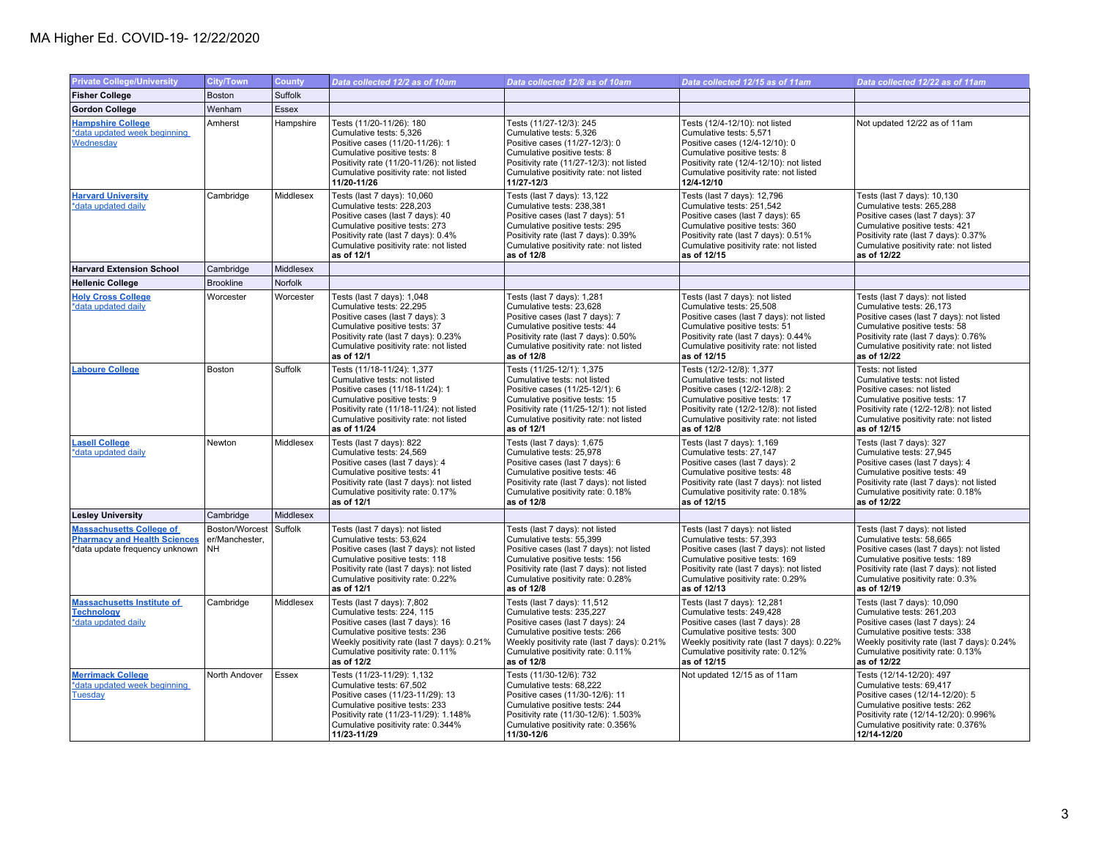| <b>Private College/University</b>                                                                        | <b>City/Town</b>                              | County       | Data collected 12/2 as of 10am                                                                                                                                                                                                            | Data collected 12/8 as of 10am                                                                                                                                                                                                            | Data collected 12/15 as of 11am                                                                                                                                                                                                            | Data collected 12/22 as of 11am                                                                                                                                                                                                           |
|----------------------------------------------------------------------------------------------------------|-----------------------------------------------|--------------|-------------------------------------------------------------------------------------------------------------------------------------------------------------------------------------------------------------------------------------------|-------------------------------------------------------------------------------------------------------------------------------------------------------------------------------------------------------------------------------------------|--------------------------------------------------------------------------------------------------------------------------------------------------------------------------------------------------------------------------------------------|-------------------------------------------------------------------------------------------------------------------------------------------------------------------------------------------------------------------------------------------|
| <b>Fisher College</b>                                                                                    | Boston                                        | Suffolk      |                                                                                                                                                                                                                                           |                                                                                                                                                                                                                                           |                                                                                                                                                                                                                                            |                                                                                                                                                                                                                                           |
| <b>Gordon College</b>                                                                                    | Wenham                                        | <b>Essex</b> |                                                                                                                                                                                                                                           |                                                                                                                                                                                                                                           |                                                                                                                                                                                                                                            |                                                                                                                                                                                                                                           |
| <b>Hampshire College</b><br>*data updated week beginning<br>Wednesday                                    | Amherst                                       | Hampshire    | Tests (11/20-11/26): 180<br>Cumulative tests: 5,326<br>Positive cases (11/20-11/26): 1<br>Cumulative positive tests: 8<br>Positivity rate (11/20-11/26): not listed<br>Cumulative positivity rate: not listed<br>11/20-11/26              | Tests (11/27-12/3): 245<br>Cumulative tests: 5,326<br>Positive cases (11/27-12/3): 0<br>Cumulative positive tests: 8<br>Positivity rate (11/27-12/3): not listed<br>Cumulative positivity rate: not listed<br>11/27-12/3                  | Tests (12/4-12/10): not listed<br>Cumulative tests: 5,571<br>Positive cases (12/4-12/10): 0<br>Cumulative positive tests: 8<br>Positivity rate (12/4-12/10): not listed<br>Cumulative positivity rate: not listed<br>12/4-12/10            | Not updated 12/22 as of 11am                                                                                                                                                                                                              |
| <b>Harvard University</b><br>*data updated daily                                                         | Cambridge                                     | Middlesex    | Tests (last 7 days): 10,060<br>Cumulative tests: 228,203<br>Positive cases (last 7 days): 40<br>Cumulative positive tests: 273<br>Positivity rate (last 7 days): 0.4%<br>Cumulative positivity rate: not listed<br>as of 12/1             | Tests (last 7 days): 13,122<br>Cumulative tests: 238,381<br>Positive cases (last 7 days): 51<br>Cumulative positive tests: 295<br>Positivity rate (last 7 days): 0.39%<br>Cumulative positivity rate: not listed<br>as of 12/8            | Tests (last 7 days): 12,796<br>Cumulative tests: 251,542<br>Positive cases (last 7 days): 65<br>Cumulative positive tests: 360<br>Positivity rate (last 7 days): 0.51%<br>Cumulative positivity rate: not listed<br>as of 12/15            | Tests (last 7 days): 10,130<br>Cumulative tests: 265,288<br>Positive cases (last 7 days): 37<br>Cumulative positive tests: 421<br>Positivity rate (last 7 days): 0.37%<br>Cumulative positivity rate: not listed<br>as of 12/22           |
| <b>Harvard Extension School</b>                                                                          | Cambridge                                     | Middlesex    |                                                                                                                                                                                                                                           |                                                                                                                                                                                                                                           |                                                                                                                                                                                                                                            |                                                                                                                                                                                                                                           |
| <b>Hellenic College</b>                                                                                  | <b>Brookline</b>                              | Norfolk      |                                                                                                                                                                                                                                           |                                                                                                                                                                                                                                           |                                                                                                                                                                                                                                            |                                                                                                                                                                                                                                           |
| <b>Holy Cross College</b><br>*data updated daily                                                         | Worcester                                     | Worcester    | Tests (last 7 days): 1,048<br>Cumulative tests: 22,295<br>Positive cases (last 7 days): 3<br>Cumulative positive tests: 37<br>Positivity rate (last 7 days): 0.23%<br>Cumulative positivity rate: not listed<br>as of 12/1                | Tests (last 7 days): 1,281<br>Cumulative tests: 23,628<br>Positive cases (last 7 days): 7<br>Cumulative positive tests: 44<br>Positivity rate (last 7 days): 0.50%<br>Cumulative positivity rate: not listed<br>as of 12/8                | Tests (last 7 days): not listed<br>Cumulative tests: 25,508<br>Positive cases (last 7 days): not listed<br>Cumulative positive tests: 51<br>Positivity rate (last 7 days): 0.44%<br>Cumulative positivity rate: not listed<br>as of 12/15  | Tests (last 7 days): not listed<br>Cumulative tests: 26,173<br>Positive cases (last 7 days): not listed<br>Cumulative positive tests: 58<br>Positivity rate (last 7 days): 0.76%<br>Cumulative positivity rate: not listed<br>as of 12/22 |
| <b>Laboure College</b>                                                                                   | Boston                                        | Suffolk      | Tests (11/18-11/24): 1,377<br>Cumulative tests: not listed<br>Positive cases (11/18-11/24): 1<br>Cumulative positive tests: 9<br>Positivity rate (11/18-11/24): not listed<br>Cumulative positivity rate: not listed<br>as of 11/24       | Tests (11/25-12/1): 1,375<br>Cumulative tests: not listed<br>Positive cases (11/25-12/1): 6<br>Cumulative positive tests: 15<br>Positivity rate (11/25-12/1): not listed<br>Cumulative positivity rate: not listed<br>as of 12/1          | Tests (12/2-12/8): 1,377<br>Cumulative tests: not listed<br>Positive cases (12/2-12/8): 2<br>Cumulative positive tests: 17<br>Positivity rate (12/2-12/8): not listed<br>Cumulative positivity rate: not listed<br>as of 12/8              | Tests: not listed<br>Cumulative tests: not listed<br>Positive cases: not listed<br>Cumulative positive tests: 17<br>Positivity rate (12/2-12/8): not listed<br>Cumulative positivity rate: not listed<br>as of 12/15                      |
| <b>Lasell College</b><br>*data updated daily                                                             | Newton                                        | Middlesex    | Tests (last 7 days): 822<br>Cumulative tests: 24,569<br>Positive cases (last 7 days): 4<br>Cumulative positive tests: 41<br>Positivity rate (last 7 days): not listed<br>Cumulative positivity rate: 0.17%<br>as of 12/1                  | Tests (last 7 days): 1,675<br>Cumulative tests: 25,978<br>Positive cases (last 7 days): 6<br>Cumulative positive tests: 46<br>Positivity rate (last 7 days): not listed<br>Cumulative positivity rate: 0.18%<br>as of 12/8                | Tests (last 7 days): 1,169<br>Cumulative tests: 27,147<br>Positive cases (last 7 days): 2<br>Cumulative positive tests: 48<br>Positivity rate (last 7 days): not listed<br>Cumulative positivity rate: 0.18%<br>as of 12/15                | Tests (last 7 days): 327<br>Cumulative tests: 27,945<br>Positive cases (last 7 days): 4<br>Cumulative positive tests: 49<br>Positivity rate (last 7 days): not listed<br>Cumulative positivity rate: 0.18%<br>as of 12/22                 |
| <b>Lesley University</b>                                                                                 | Cambridge                                     | Middlesex    |                                                                                                                                                                                                                                           |                                                                                                                                                                                                                                           |                                                                                                                                                                                                                                            |                                                                                                                                                                                                                                           |
| <b>Massachusetts College of</b><br><b>Pharmacy and Health Sciences</b><br>*data update frequency unknown | Boston/Worcest<br>er/Manchester,<br><b>NH</b> | Suffolk      | Tests (last 7 days): not listed<br>Cumulative tests: 53,624<br>Positive cases (last 7 days): not listed<br>Cumulative positive tests: 118<br>Positivity rate (last 7 days): not listed<br>Cumulative positivity rate: 0.22%<br>as of 12/1 | Tests (last 7 days): not listed<br>Cumulative tests: 55,399<br>Positive cases (last 7 days): not listed<br>Cumulative positive tests: 156<br>Positivity rate (last 7 days): not listed<br>Cumulative positivity rate: 0.28%<br>as of 12/8 | Tests (last 7 days): not listed<br>Cumulative tests: 57,393<br>Positive cases (last 7 days): not listed<br>Cumulative positive tests: 169<br>Positivity rate (last 7 days): not listed<br>Cumulative positivity rate: 0.29%<br>as of 12/13 | Tests (last 7 days): not listed<br>Cumulative tests: 58,665<br>Positive cases (last 7 days): not listed<br>Cumulative positive tests: 189<br>Positivity rate (last 7 days): not listed<br>Cumulative positivity rate: 0.3%<br>as of 12/19 |
| <b>Massachusetts Institute of</b><br><b>Technology</b><br>*data updated daily                            | Cambridge                                     | Middlesex    | Tests (last 7 days): 7,802<br>Cumulative tests: 224, 115<br>Positive cases (last 7 days): 16<br>Cumulative positive tests: 236<br>Weekly positivity rate (last 7 days): 0.21%<br>Cumulative positivity rate: 0.11%<br>as of 12/2          | Tests (last 7 days): 11,512<br>Cumulative tests: 235,227<br>Positive cases (last 7 days): 24<br>Cumulative positive tests: 266<br>Weekly positivity rate (last 7 days): 0.21%<br>Cumulative positivity rate: 0.11%<br>as of 12/8          | Tests (last 7 days): 12,281<br>Cumulative tests: 249,428<br>Positive cases (last 7 days): 28<br>Cumulative positive tests: 300<br>Weekly positivity rate (last 7 days): 0.22%<br>Cumulative positivity rate: 0.12%<br>as of 12/15          | Tests (last 7 days): 10,090<br>Cumulative tests: 261,203<br>Positive cases (last 7 days): 24<br>Cumulative positive tests: 338<br>Weekly positivity rate (last 7 days): 0.24%<br>Cumulative positivity rate: 0.13%<br>as of 12/22         |
| <b>Merrimack College</b><br>*data updated week beginning<br><b>Tuesday</b>                               | North Andover                                 | Essex        | Tests (11/23-11/29): 1,132<br>Cumulative tests: 67,502<br>Positive cases (11/23-11/29): 13<br>Cumulative positive tests: 233<br>Positivity rate (11/23-11/29): 1.148%<br>Cumulative positivity rate: 0.344%<br>11/23-11/29                | Tests (11/30-12/6): 732<br>Cumulative tests: 68,222<br>Positive cases (11/30-12/6): 11<br>Cumulative positive tests: 244<br>Positivity rate (11/30-12/6): 1.503%<br>Cumulative positivity rate: 0.356%<br>11/30-12/6                      | Not updated 12/15 as of 11am                                                                                                                                                                                                               | Tests (12/14-12/20): 497<br>Cumulative tests: 69,417<br>Positive cases (12/14-12/20): 5<br>Cumulative positive tests: 262<br>Positivity rate (12/14-12/20): 0.996%<br>Cumulative positivity rate: 0.376%<br>12/14-12/20                   |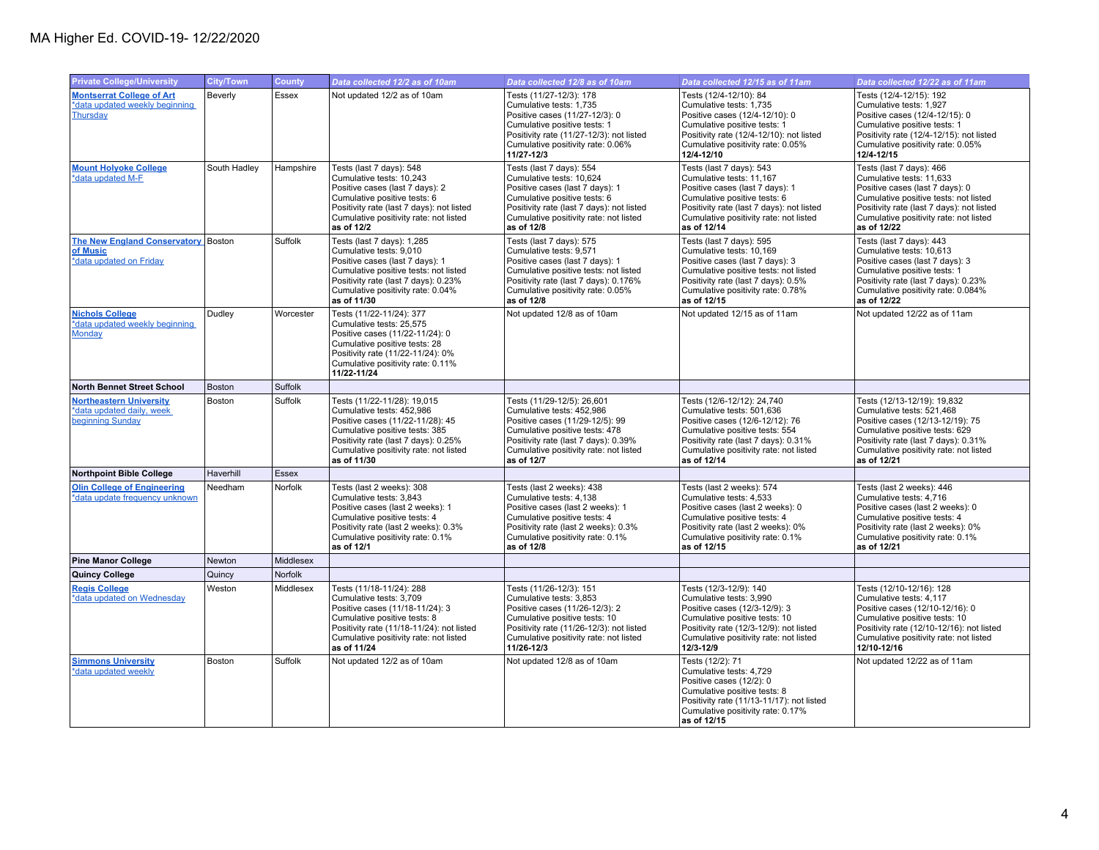| <b>Private College/University</b>                                               | <b>City/Town</b> | <b>County</b>  | Data collected 12/2 as of 10am                                                                                                                                                                                                  | Data collected 12/8 as of 10am                                                                                                                                                                                               | Data collected 12/15 as of 11am                                                                                                                                                                                               | Data collected 12/22 as of 11am                                                                                                                                                                                                        |
|---------------------------------------------------------------------------------|------------------|----------------|---------------------------------------------------------------------------------------------------------------------------------------------------------------------------------------------------------------------------------|------------------------------------------------------------------------------------------------------------------------------------------------------------------------------------------------------------------------------|-------------------------------------------------------------------------------------------------------------------------------------------------------------------------------------------------------------------------------|----------------------------------------------------------------------------------------------------------------------------------------------------------------------------------------------------------------------------------------|
| <b>Montserrat College of Art</b><br>*data updated weekly beginning<br>Thursday  | Beverly          | Essex          | Not updated 12/2 as of 10am                                                                                                                                                                                                     | Tests (11/27-12/3): 178<br>Cumulative tests: 1,735<br>Positive cases (11/27-12/3): 0<br>Cumulative positive tests: 1<br>Positivity rate (11/27-12/3): not listed<br>Cumulative positivity rate: 0.06%<br>11/27-12/3          | Tests (12/4-12/10): 84<br>Cumulative tests: 1,735<br>Positive cases (12/4-12/10): 0<br>Cumulative positive tests: 1<br>Positivity rate (12/4-12/10): not listed<br>Cumulative positivity rate: 0.05%<br>12/4-12/10            | Tests (12/4-12/15): 192<br>Cumulative tests: 1,927<br>Positive cases (12/4-12/15): 0<br>Cumulative positive tests: 1<br>Positivity rate (12/4-12/15): not listed<br>Cumulative positivity rate: 0.05%<br>12/4-12/15                    |
| <b>Mount Holyoke College</b><br>*data updated M-F                               | South Hadley     | Hampshire      | Tests (last 7 days): 548<br>Cumulative tests: 10,243<br>Positive cases (last 7 days): 2<br>Cumulative positive tests: 6<br>Positivity rate (last 7 days): not listed<br>Cumulative positivity rate: not listed<br>as of 12/2    | Tests (last 7 days): 554<br>Cumulative tests: 10,624<br>Positive cases (last 7 days): 1<br>Cumulative positive tests: 6<br>Positivity rate (last 7 days): not listed<br>Cumulative positivity rate: not listed<br>as of 12/8 | Tests (last 7 days): 543<br>Cumulative tests: 11,167<br>Positive cases (last 7 days): 1<br>Cumulative positive tests: 6<br>Positivity rate (last 7 days): not listed<br>Cumulative positivity rate: not listed<br>as of 12/14 | Tests (last 7 days): 466<br>Cumulative tests: 11,633<br>Positive cases (last 7 days): 0<br>Cumulative positive tests: not listed<br>Positivity rate (last 7 days): not listed<br>Cumulative positivity rate: not listed<br>as of 12/22 |
| The New England Conservatory Boston<br>of Music<br>*data updated on Friday      |                  | <b>Suffolk</b> | Tests (last 7 days): 1,285<br>Cumulative tests: 9,010<br>Positive cases (last 7 days): 1<br>Cumulative positive tests: not listed<br>Positivity rate (last 7 days): 0.23%<br>Cumulative positivity rate: 0.04%<br>as of 11/30   | Tests (last 7 days): 575<br>Cumulative tests: 9,571<br>Positive cases (last 7 days): 1<br>Cumulative positive tests: not listed<br>Positivity rate (last 7 days): 0.176%<br>Cumulative positivity rate: 0.05%<br>as of 12/8  | Tests (last 7 days): 595<br>Cumulative tests: 10,169<br>Positive cases (last 7 days): 3<br>Cumulative positive tests: not listed<br>Positivity rate (last 7 days): 0.5%<br>Cumulative positivity rate: 0.78%<br>as of 12/15   | Tests (last 7 days): 443<br>Cumulative tests: 10,613<br>Positive cases (last 7 days): 3<br>Cumulative positive tests: 1<br>Positivity rate (last 7 days): 0.23%<br>Cumulative positivity rate: 0.084%<br>as of 12/22                   |
| <b>Nichols College</b><br>*data updated weekly beginning<br>Monday              | Dudley           | Worcester      | Tests (11/22-11/24): 377<br>Cumulative tests: 25,575<br>Positive cases (11/22-11/24): 0<br>Cumulative positive tests: 28<br>Positivity rate (11/22-11/24): 0%<br>Cumulative positivity rate: 0.11%<br>11/22-11/24               | Not updated 12/8 as of 10am                                                                                                                                                                                                  | Not updated 12/15 as of 11am                                                                                                                                                                                                  | Not updated 12/22 as of 11am                                                                                                                                                                                                           |
| <b>North Bennet Street School</b>                                               | <b>Boston</b>    | Suffolk        |                                                                                                                                                                                                                                 |                                                                                                                                                                                                                              |                                                                                                                                                                                                                               |                                                                                                                                                                                                                                        |
| <b>Northeastern University</b><br>*data updated daily, week<br>beginning Sunday | Boston           | Suffolk        | Tests (11/22-11/28): 19,015<br>Cumulative tests: 452,986<br>Positive cases (11/22-11/28): 45<br>Cumulative positive tests: 385<br>Positivity rate (last 7 days): 0.25%<br>Cumulative positivity rate: not listed<br>as of 11/30 | Tests (11/29-12/5): 26,601<br>Cumulative tests: 452,986<br>Positive cases (11/29-12/5): 99<br>Cumulative positive tests: 478<br>Positivity rate (last 7 days): 0.39%<br>Cumulative positivity rate: not listed<br>as of 12/7 | Tests (12/6-12/12): 24,740<br>Cumulative tests: 501,636<br>Positive cases (12/6-12/12): 76<br>Cumulative positive tests: 554<br>Positivity rate (last 7 days): 0.31%<br>Cumulative positivity rate: not listed<br>as of 12/14 | Tests (12/13-12/19): 19,832<br>Cumulative tests: 521,468<br>Positive cases (12/13-12/19): 75<br>Cumulative positive tests: 629<br>Positivity rate (last 7 days): 0.31%<br>Cumulative positivity rate: not listed<br>as of 12/21        |
| <b>Northpoint Bible College</b>                                                 | Haverhill        | <b>Essex</b>   |                                                                                                                                                                                                                                 |                                                                                                                                                                                                                              |                                                                                                                                                                                                                               |                                                                                                                                                                                                                                        |
| <b>Olin College of Engineering</b><br>*data update frequency unknown            | Needham          | Norfolk        | Tests (last 2 weeks): 308<br>Cumulative tests: 3.843<br>Positive cases (last 2 weeks): 1<br>Cumulative positive tests: 4<br>Positivity rate (last 2 weeks): 0.3%<br>Cumulative positivity rate: 0.1%<br>as of 12/1              | Tests (last 2 weeks): 438<br>Cumulative tests: 4.138<br>Positive cases (last 2 weeks): 1<br>Cumulative positive tests: 4<br>Positivity rate (last 2 weeks): 0.3%<br>Cumulative positivity rate: 0.1%<br>as of 12/8           | Tests (last 2 weeks): 574<br>Cumulative tests: 4.533<br>Positive cases (last 2 weeks): 0<br>Cumulative positive tests: 4<br>Positivity rate (last 2 weeks): 0%<br>Cumulative positivity rate: 0.1%<br>as of 12/15             | Tests (last 2 weeks): 446<br>Cumulative tests: 4.716<br>Positive cases (last 2 weeks): 0<br>Cumulative positive tests: 4<br>Positivity rate (last 2 weeks): 0%<br>Cumulative positivity rate: 0.1%<br>as of 12/21                      |
| <b>Pine Manor College</b>                                                       | Newton           | Middlesex      |                                                                                                                                                                                                                                 |                                                                                                                                                                                                                              |                                                                                                                                                                                                                               |                                                                                                                                                                                                                                        |
| <b>Quincy College</b>                                                           | Quincy           | Norfolk        |                                                                                                                                                                                                                                 |                                                                                                                                                                                                                              |                                                                                                                                                                                                                               |                                                                                                                                                                                                                                        |
| <b>Regis College</b><br>*data updated on Wednesday                              | Weston           | Middlesex      | Tests (11/18-11/24): 288<br>Cumulative tests: 3.709<br>Positive cases (11/18-11/24): 3<br>Cumulative positive tests: 8<br>Positivity rate (11/18-11/24): not listed<br>Cumulative positivity rate: not listed<br>as of 11/24    | Tests (11/26-12/3): 151<br>Cumulative tests: 3.853<br>Positive cases (11/26-12/3): 2<br>Cumulative positive tests: 10<br>Positivity rate (11/26-12/3): not listed<br>Cumulative positivity rate: not listed<br>11/26-12/3    | Tests (12/3-12/9): 140<br>Cumulative tests: 3.990<br>Positive cases (12/3-12/9): 3<br>Cumulative positive tests: 10<br>Positivity rate (12/3-12/9): not listed<br>Cumulative positivity rate: not listed<br>12/3-12/9         | Tests (12/10-12/16): 128<br>Cumulative tests: 4.117<br>Positive cases (12/10-12/16): 0<br>Cumulative positive tests: 10<br>Positivity rate (12/10-12/16): not listed<br>Cumulative positivity rate: not listed<br>12/10-12/16          |
| <b>Simmons University</b><br>*data updated weekly                               | Boston           | Suffolk        | Not updated 12/2 as of 10am                                                                                                                                                                                                     | Not updated 12/8 as of 10am                                                                                                                                                                                                  | Tests (12/2): 71<br>Cumulative tests: 4,729<br>Positive cases (12/2): 0<br>Cumulative positive tests: 8<br>Positivity rate (11/13-11/17): not listed<br>Cumulative positivity rate: 0.17%<br>as of 12/15                      | Not updated 12/22 as of 11am                                                                                                                                                                                                           |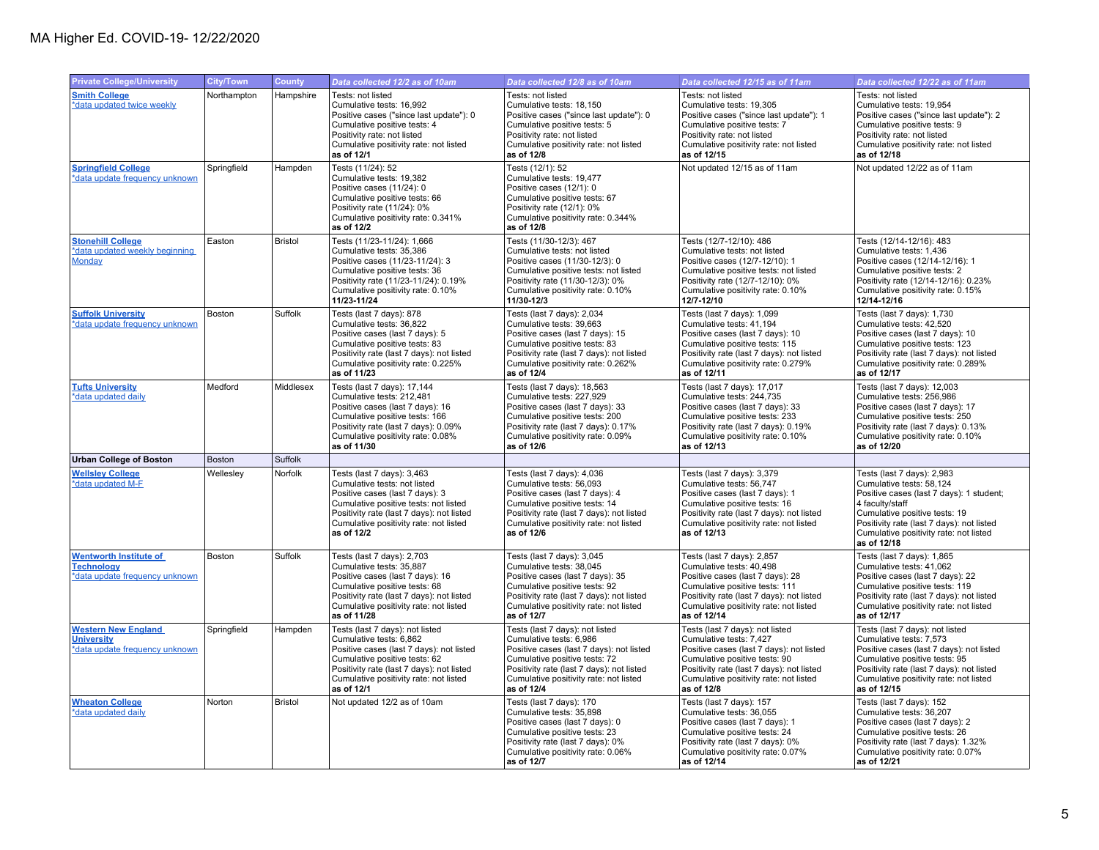| <b>Private College/University</b>                                                    | City/Town   | <b>County</b> | Data collected 12/2 as of 10am                                                                                                                                                                                                               | Data collected 12/8 as of 10am                                                                                                                                                                                                               | Data collected 12/15 as of 11am                                                                                                                                                                                                              | Data collected 12/22 as of 11am                                                                                                                                                                                                                              |
|--------------------------------------------------------------------------------------|-------------|---------------|----------------------------------------------------------------------------------------------------------------------------------------------------------------------------------------------------------------------------------------------|----------------------------------------------------------------------------------------------------------------------------------------------------------------------------------------------------------------------------------------------|----------------------------------------------------------------------------------------------------------------------------------------------------------------------------------------------------------------------------------------------|--------------------------------------------------------------------------------------------------------------------------------------------------------------------------------------------------------------------------------------------------------------|
| <b>Smith College</b><br>*data updated twice weekly                                   | Northampton | Hampshire     | Tests: not listed<br>Cumulative tests: 16,992<br>Positive cases ("since last update"): 0<br>Cumulative positive tests: 4<br>Positivity rate: not listed<br>Cumulative positivity rate: not listed<br>as of 12/1                              | Tests: not listed<br>Cumulative tests: 18,150<br>Positive cases ("since last update"): 0<br>Cumulative positive tests: 5<br>Positivity rate: not listed<br>Cumulative positivity rate: not listed<br>as of 12/8                              | Tests: not listed<br>Cumulative tests: 19,305<br>Positive cases ("since last update"): 1<br>Cumulative positive tests: 7<br>Positivity rate: not listed<br>Cumulative positivity rate: not listed<br>as of 12/15                             | Tests: not listed<br>Cumulative tests: 19,954<br>Positive cases ("since last update"): 2<br>Cumulative positive tests: 9<br>Positivity rate: not listed<br>Cumulative positivity rate: not listed<br>as of 12/18                                             |
| <b>Springfield College</b><br>*data update frequency unknown                         | Springfield | Hampden       | Tests (11/24): 52<br>Cumulative tests: 19,382<br>Positive cases (11/24): 0<br>Cumulative positive tests: 66<br>Positivity rate (11/24): 0%<br>Cumulative positivity rate: 0.341%<br>as of 12/2                                               | Tests (12/1): 52<br>Cumulative tests: 19,477<br>Positive cases (12/1): 0<br>Cumulative positive tests: 67<br>Positivity rate (12/1): 0%<br>Cumulative positivity rate: 0.344%<br>as of 12/8                                                  | Not updated 12/15 as of 11am                                                                                                                                                                                                                 | Not updated 12/22 as of 11am                                                                                                                                                                                                                                 |
| <b>Stonehill College</b><br>data updated weekly beginning<br><b>Monday</b>           | Easton      | Bristol       | Tests (11/23-11/24): 1,666<br>Cumulative tests: 35.386<br>Positive cases (11/23-11/24): 3<br>Cumulative positive tests: 36<br>Positivity rate (11/23-11/24): 0.19%<br>Cumulative positivity rate: 0.10%<br>11/23-11/24                       | Tests (11/30-12/3): 467<br>Cumulative tests: not listed<br>Positive cases (11/30-12/3): 0<br>Cumulative positive tests: not listed<br>Positivity rate (11/30-12/3): 0%<br>Cumulative positivity rate: 0.10%<br>11/30-12/3                    | Tests (12/7-12/10): 486<br>Cumulative tests: not listed<br>Positive cases (12/7-12/10): 1<br>Cumulative positive tests: not listed<br>Positivity rate (12/7-12/10): 0%<br>Cumulative positivity rate: 0.10%<br>12/7-12/10                    | Tests (12/14-12/16): 483<br>Cumulative tests: 1.436<br>Positive cases (12/14-12/16): 1<br>Cumulative positive tests: 2<br>Positivity rate (12/14-12/16): 0.23%<br>Cumulative positivity rate: 0.15%<br>12/14-12/16                                           |
| <b>Suffolk University</b><br>*data update frequency unknown                          | Boston      | Suffolk       | Tests (last 7 days): 878<br>Cumulative tests: 36,822<br>Positive cases (last 7 days): 5<br>Cumulative positive tests: 83<br>Positivity rate (last 7 days): not listed<br>Cumulative positivity rate: 0.225%<br>as of 11/23                   | Tests (last 7 days): 2,034<br>Cumulative tests: 39,663<br>Positive cases (last 7 days): 15<br>Cumulative positive tests: 83<br>Positivity rate (last 7 days): not listed<br>Cumulative positivity rate: 0.262%<br>as of 12/4                 | Tests (last 7 days): 1,099<br>Cumulative tests: 41,194<br>Positive cases (last 7 days): 10<br>Cumulative positive tests: 115<br>Positivity rate (last 7 days): not listed<br>Cumulative positivity rate: 0.279%<br>as of 12/11               | Tests (last 7 days): 1,730<br>Cumulative tests: 42,520<br>Positive cases (last 7 days): 10<br>Cumulative positive tests: 123<br>Positivity rate (last 7 days): not listed<br>Cumulative positivity rate: 0.289%<br>as of 12/17                               |
| <b>Tufts University</b><br>*data updated daily                                       | Medford     | Middlesex     | Tests (last 7 days): 17,144<br>Cumulative tests: 212,481<br>Positive cases (last 7 days): 16<br>Cumulative positive tests: 166<br>Positivity rate (last 7 days): 0.09%<br>Cumulative positivity rate: 0.08%<br>as of 11/30                   | Tests (last 7 days): 18,563<br>Cumulative tests: 227,929<br>Positive cases (last 7 days): 33<br>Cumulative positive tests: 200<br>Positivity rate (last 7 days): 0.17%<br>Cumulative positivity rate: 0.09%<br>as of 12/6                    | Tests (last 7 days): 17,017<br>Cumulative tests: 244,735<br>Positive cases (last 7 days): 33<br>Cumulative positive tests: 233<br>Positivity rate (last 7 days): 0.19%<br>Cumulative positivity rate: 0.10%<br>as of 12/13                   | Tests (last 7 days): 12,003<br>Cumulative tests: 256,986<br>Positive cases (last 7 days): 17<br>Cumulative positive tests: 250<br>Positivity rate (last 7 days): 0.13%<br>Cumulative positivity rate: 0.10%<br>as of 12/20                                   |
| <b>Urban College of Boston</b>                                                       | Boston      | Suffolk       |                                                                                                                                                                                                                                              |                                                                                                                                                                                                                                              |                                                                                                                                                                                                                                              |                                                                                                                                                                                                                                                              |
| <b>Wellsley College</b><br>*data updated M-F                                         | Wellesley   | Norfolk       | Tests (last 7 days): 3,463<br>Cumulative tests: not listed<br>Positive cases (last 7 days): 3<br>Cumulative positive tests: not listed<br>Positivity rate (last 7 days): not listed<br>Cumulative positivity rate: not listed<br>as of 12/2  | Tests (last 7 days): 4,036<br>Cumulative tests: 56,093<br>Positive cases (last 7 days): 4<br>Cumulative positive tests: 14<br>Positivity rate (last 7 days): not listed<br>Cumulative positivity rate: not listed<br>as of 12/6              | Tests (last 7 days): 3,379<br>Cumulative tests: 56.747<br>Positive cases (last 7 days): 1<br>Cumulative positive tests: 16<br>Positivity rate (last 7 days): not listed<br>Cumulative positivity rate: not listed<br>as of 12/13             | Tests (last 7 days): 2,983<br>Cumulative tests: 58,124<br>Positive cases (last 7 days): 1 student;<br>4 faculty/staff<br>Cumulative positive tests: 19<br>Positivity rate (last 7 days): not listed<br>Cumulative positivity rate: not listed<br>as of 12/18 |
| <b>Wentworth Institute of</b><br><b>Technology</b><br>*data update frequency unknown | Boston      | Suffolk       | Tests (last 7 days): 2,703<br>Cumulative tests: 35.887<br>Positive cases (last 7 days): 16<br>Cumulative positive tests: 68<br>Positivity rate (last 7 days): not listed<br>Cumulative positivity rate: not listed<br>as of 11/28            | Tests (last 7 days): 3,045<br>Cumulative tests: 38.045<br>Positive cases (last 7 days): 35<br>Cumulative positive tests: 92<br>Positivity rate (last 7 days): not listed<br>Cumulative positivity rate: not listed<br>as of 12/7             | Tests (last 7 days): 2,857<br>Cumulative tests: 40.498<br>Positive cases (last 7 days): 28<br>Cumulative positive tests: 111<br>Positivity rate (last 7 days): not listed<br>Cumulative positivity rate: not listed<br>as of 12/14           | Tests (last 7 days): 1,865<br>Cumulative tests: 41.062<br>Positive cases (last 7 days): 22<br>Cumulative positive tests: 119<br>Positivity rate (last 7 days): not listed<br>Cumulative positivity rate: not listed<br>as of 12/17                           |
| <b>Western New England</b><br><b>University</b><br>*data update frequency unknown    | Springfield | Hampden       | Tests (last 7 days): not listed<br>Cumulative tests: 6,862<br>Positive cases (last 7 days): not listed<br>Cumulative positive tests: 62<br>Positivity rate (last 7 days): not listed<br>Cumulative positivity rate: not listed<br>as of 12/1 | Tests (last 7 days): not listed<br>Cumulative tests: 6,986<br>Positive cases (last 7 days): not listed<br>Cumulative positive tests: 72<br>Positivity rate (last 7 days): not listed<br>Cumulative positivity rate: not listed<br>as of 12/4 | Tests (last 7 days): not listed<br>Cumulative tests: 7,427<br>Positive cases (last 7 days): not listed<br>Cumulative positive tests: 90<br>Positivity rate (last 7 days): not listed<br>Cumulative positivity rate: not listed<br>as of 12/8 | Tests (last 7 days): not listed<br>Cumulative tests: 7,573<br>Positive cases (last 7 days): not listed<br>Cumulative positive tests: 95<br>Positivity rate (last 7 days): not listed<br>Cumulative positivity rate: not listed<br>as of 12/15                |
| <b>Wheaton College</b><br>*data updated daily                                        | Norton      | Bristol       | Not updated 12/2 as of 10am                                                                                                                                                                                                                  | Tests (last 7 days): 170<br>Cumulative tests: 35,898<br>Positive cases (last 7 days): 0<br>Cumulative positive tests: 23<br>Positivity rate (last 7 days): 0%<br>Cumulative positivity rate: 0.06%<br>as of 12/7                             | Tests (last 7 days): 157<br>Cumulative tests: 36,055<br>Positive cases (last 7 days): 1<br>Cumulative positive tests: 24<br>Positivity rate (last 7 days): 0%<br>Cumulative positivity rate: 0.07%<br>as of 12/14                            | Tests (last 7 days): 152<br>Cumulative tests: 36,207<br>Positive cases (last 7 days): 2<br>Cumulative positive tests: 26<br>Positivity rate (last 7 days): 1.32%<br>Cumulative positivity rate: 0.07%<br>as of 12/21                                         |